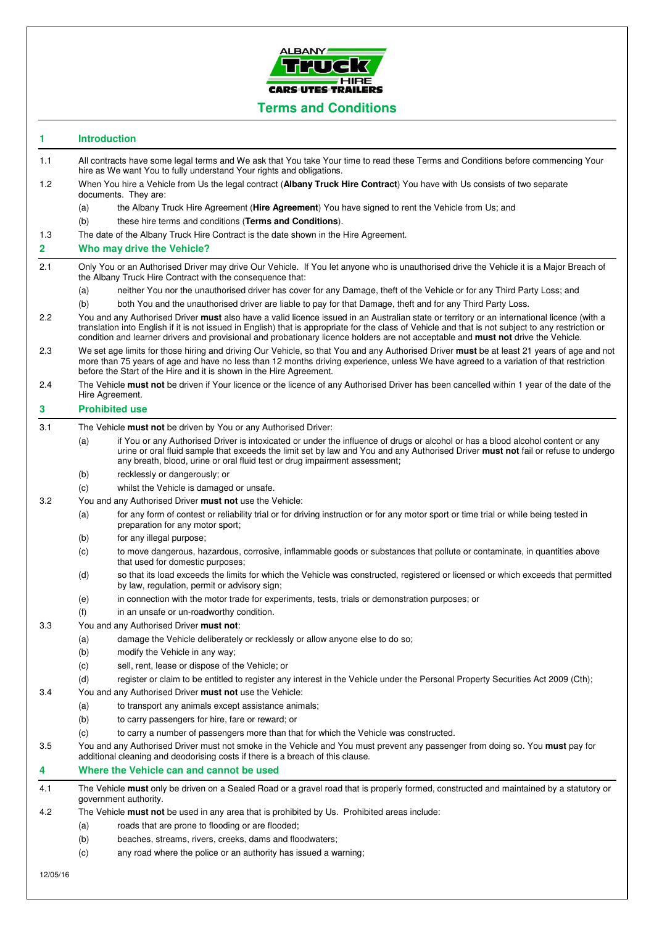

## **1 Introduction**

- 1.1 All contracts have some legal terms and We ask that You take Your time to read these Terms and Conditions before commencing Your hire as We want You to fully understand Your rights and obligations.
- 1.2 When You hire a Vehicle from Us the legal contract (**Albany Truck Hire Contract**) You have with Us consists of two separate documents. They are:

(a) the Albany Truck Hire Agreement (**Hire Agreement**) You have signed to rent the Vehicle from Us; and

- (b) these hire terms and conditions (**Terms and Conditions**).
- 1.3 The date of the Albany Truck Hire Contract is the date shown in the Hire Agreement.

### **2 Who may drive the Vehicle?**

- 2.1 Only You or an Authorised Driver may drive Our Vehicle. If You let anyone who is unauthorised drive the Vehicle it is a Major Breach of the Albany Truck Hire Contract with the consequence that:
	- (a) neither You nor the unauthorised driver has cover for any Damage, theft of the Vehicle or for any Third Party Loss; and
	- (b) both You and the unauthorised driver are liable to pay for that Damage, theft and for any Third Party Loss.
- 2.2 You and any Authorised Driver **must** also have a valid licence issued in an Australian state or territory or an international licence (with a translation into English if it is not issued in English) that is appropriate for the class of Vehicle and that is not subject to any restriction or condition and learner drivers and provisional and probationary licence holders are not acceptable and **must not** drive the Vehicle.
- 2.3 We set age limits for those hiring and driving Our Vehicle, so that You and any Authorised Driver **must** be at least 21 years of age and not more than 75 years of age and have no less than 12 months driving experience, unless We have agreed to a variation of that restriction before the Start of the Hire and it is shown in the Hire Agreement.
- 2.4 The Vehicle **must not** be driven if Your licence or the licence of any Authorised Driver has been cancelled within 1 year of the date of the Hire Agreement.

## **3 Prohibited use**

- 3.1 The Vehicle **must not** be driven by You or any Authorised Driver:
	- (a) if You or any Authorised Driver is intoxicated or under the influence of drugs or alcohol or has a blood alcohol content or any urine or oral fluid sample that exceeds the limit set by law and You and any Authorised Driver **must not** fail or refuse to undergo any breath, blood, urine or oral fluid test or drug impairment assessment;
	- (b) recklessly or dangerously; or
	- (c) whilst the Vehicle is damaged or unsafe.
- 3.2 You and any Authorised Driver **must not** use the Vehicle:
	- (a) for any form of contest or reliability trial or for driving instruction or for any motor sport or time trial or while being tested in preparation for any motor sport;
		- (b) for any illegal purpose;
		- (c) to move dangerous, hazardous, corrosive, inflammable goods or substances that pollute or contaminate, in quantities above that used for domestic purposes;
		- (d) so that its load exceeds the limits for which the Vehicle was constructed, registered or licensed or which exceeds that permitted by law, regulation, permit or advisory sign;
		- (e) in connection with the motor trade for experiments, tests, trials or demonstration purposes; or
		- (f) in an unsafe or un-roadworthy condition.

## 3.3 You and any Authorised Driver **must not**:

- (a) damage the Vehicle deliberately or recklessly or allow anyone else to do so;
- (b) modify the Vehicle in any way;
- (c) sell, rent, lease or dispose of the Vehicle; or
- (d) register or claim to be entitled to register any interest in the Vehicle under the Personal Property Securities Act 2009 (Cth);
- 3.4 You and any Authorised Driver **must not** use the Vehicle:
	- (a) to transport any animals except assistance animals;
	- (b) to carry passengers for hire, fare or reward; or
	- (c) to carry a number of passengers more than that for which the Vehicle was constructed.

3.5 You and any Authorised Driver must not smoke in the Vehicle and You must prevent any passenger from doing so. You **must** pay for additional cleaning and deodorising costs if there is a breach of this clause.

# **4 Where the Vehicle can and cannot be used**

4.1 The Vehicle **must** only be driven on a Sealed Road or a gravel road that is properly formed, constructed and maintained by a statutory or government authority.

- 4.2 The Vehicle **must not** be used in any area that is prohibited by Us. Prohibited areas include:
	- (a) roads that are prone to flooding or are flooded;
	- (b) beaches, streams, rivers, creeks, dams and floodwaters;
	- (c) any road where the police or an authority has issued a warning;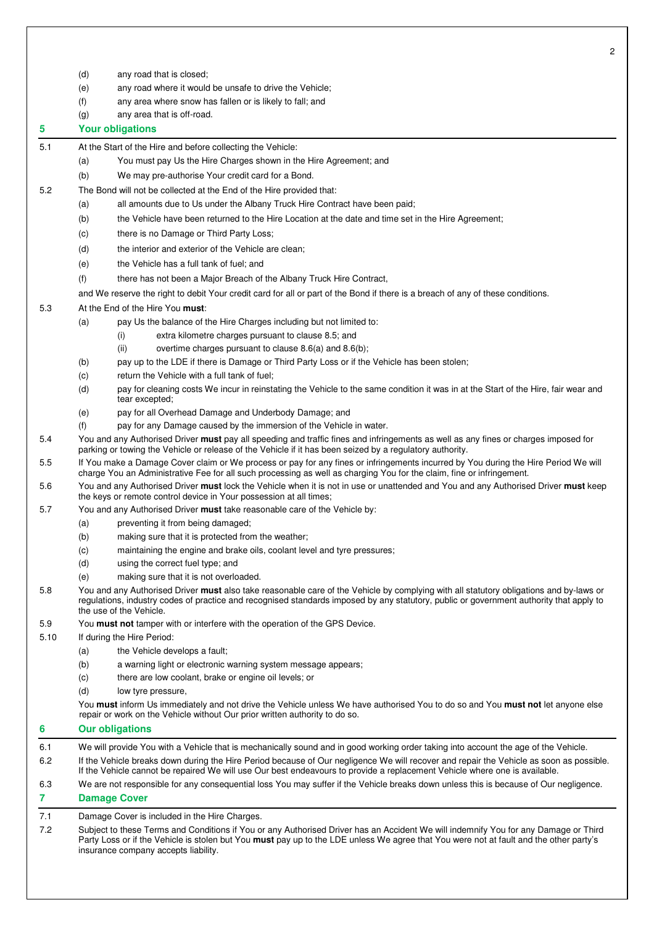- (d) any road that is closed;
- (e) any road where it would be unsafe to drive the Vehicle;
- (f) any area where snow has fallen or is likely to fall; and
- (g) any area that is off-road.

**5 Your obligations** 

- 5.1 At the Start of the Hire and before collecting the Vehicle:
	- (a) You must pay Us the Hire Charges shown in the Hire Agreement; and
	- (b) We may pre-authorise Your credit card for a Bond.
- 5.2 The Bond will not be collected at the End of the Hire provided that:
	- (a) all amounts due to Us under the Albany Truck Hire Contract have been paid;
		- (b) the Vehicle have been returned to the Hire Location at the date and time set in the Hire Agreement;
		- (c) there is no Damage or Third Party Loss;
		- (d) the interior and exterior of the Vehicle are clean;
		- (e) the Vehicle has a full tank of fuel; and
		- (f) there has not been a Major Breach of the Albany Truck Hire Contract,
	- and We reserve the right to debit Your credit card for all or part of the Bond if there is a breach of any of these conditions.

#### 5.3 At the End of the Hire You **must**:

- (a) pay Us the balance of the Hire Charges including but not limited to:
	- (i) extra kilometre charges pursuant to clause 8.5; and
	- (ii) overtime charges pursuant to clause 8.6(a) and 8.6(b);
- (b) pay up to the LDE if there is Damage or Third Party Loss or if the Vehicle has been stolen;
- (c) return the Vehicle with a full tank of fuel;
- (d) pay for cleaning costs We incur in reinstating the Vehicle to the same condition it was in at the Start of the Hire, fair wear and tear excepted;
- (e) pay for all Overhead Damage and Underbody Damage; and
- (f) pay for any Damage caused by the immersion of the Vehicle in water.
- 5.4 You and any Authorised Driver **must** pay all speeding and traffic fines and infringements as well as any fines or charges imposed for parking or towing the Vehicle or release of the Vehicle if it has been seized by a regulatory authority.
- 5.5 If You make a Damage Cover claim or We process or pay for any fines or infringements incurred by You during the Hire Period We will charge You an Administrative Fee for all such processing as well as charging You for the claim, fine or infringement.
- 5.6 You and any Authorised Driver **must** lock the Vehicle when it is not in use or unattended and You and any Authorised Driver **must** keep the keys or remote control device in Your possession at all times;
- 5.7 You and any Authorised Driver **must** take reasonable care of the Vehicle by:
	- (a) preventing it from being damaged;
	- (b) making sure that it is protected from the weather;
	- (c) maintaining the engine and brake oils, coolant level and tyre pressures;
	- (d) using the correct fuel type; and
	- (e) making sure that it is not overloaded.
- 5.8 You and any Authorised Driver **must** also take reasonable care of the Vehicle by complying with all statutory obligations and by-laws or regulations, industry codes of practice and recognised standards imposed by any statutory, public or government authority that apply to the use of the Vehicle.
- 5.9 You **must not** tamper with or interfere with the operation of the GPS Device.

5.10 If during the Hire Period:

- (a) the Vehicle develops a fault;
- (b) a warning light or electronic warning system message appears;
- (c) there are low coolant, brake or engine oil levels; or
- (d) low tyre pressure,

You **must** inform Us immediately and not drive the Vehicle unless We have authorised You to do so and You **must not** let anyone else repair or work on the Vehicle without Our prior written authority to do so.

- **6 Our obligations**  6.1 We will provide You with a Vehicle that is mechanically sound and in good working order taking into account the age of the Vehicle. 6.2 If the Vehicle breaks down during the Hire Period because of Our negligence We will recover and repair the Vehicle as soon as possible. If the Vehicle cannot be repaired We will use Our best endeavours to provide a replacement Vehicle where one is available.
	- 6.3 We are not responsible for any consequential loss You may suffer if the Vehicle breaks down unless this is because of Our negligence.

# **7 Damage Cover**

7.1 Damage Cover is included in the Hire Charges.

7.2 Subject to these Terms and Conditions if You or any Authorised Driver has an Accident We will indemnify You for any Damage or Third Party Loss or if the Vehicle is stolen but You **must** pay up to the LDE unless We agree that You were not at fault and the other party's insurance company accepts liability.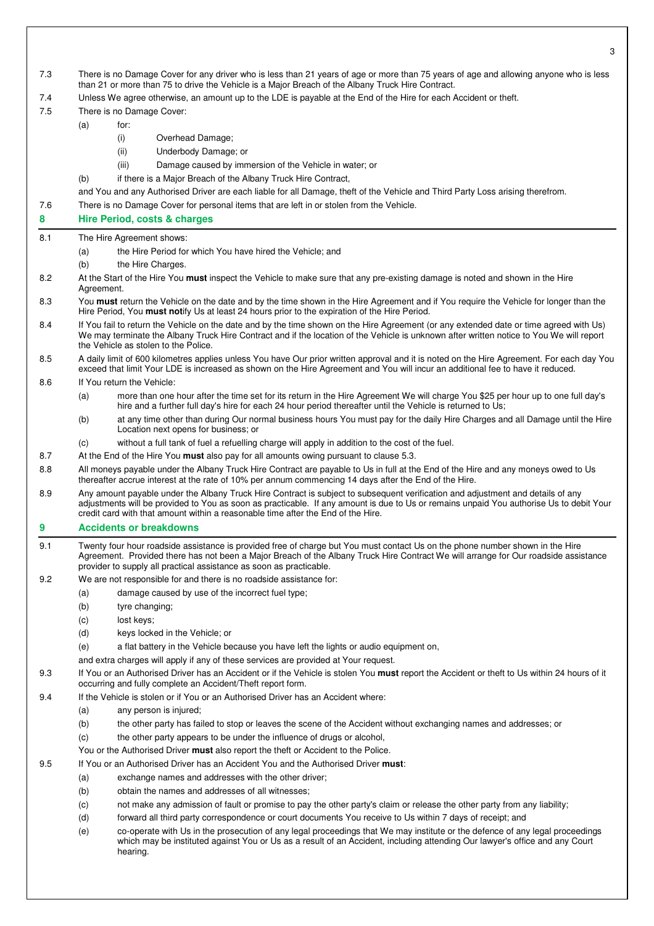| 7.3 | There is no Damage Cover for any driver who is less than 21 years of age or more than 75 years of age and allowing anyone who is less<br>than 21 or more than 75 to drive the Vehicle is a Major Breach of the Albany Truck Hire Contract.                                                                                                                     |                                                                                                                                                                                                                                                |  |
|-----|----------------------------------------------------------------------------------------------------------------------------------------------------------------------------------------------------------------------------------------------------------------------------------------------------------------------------------------------------------------|------------------------------------------------------------------------------------------------------------------------------------------------------------------------------------------------------------------------------------------------|--|
| 7.4 | Unless We agree otherwise, an amount up to the LDE is payable at the End of the Hire for each Accident or theft.                                                                                                                                                                                                                                               |                                                                                                                                                                                                                                                |  |
| 7.5 |                                                                                                                                                                                                                                                                                                                                                                | There is no Damage Cover:                                                                                                                                                                                                                      |  |
|     | (a)                                                                                                                                                                                                                                                                                                                                                            | for:                                                                                                                                                                                                                                           |  |
|     |                                                                                                                                                                                                                                                                                                                                                                | (i)<br>Overhead Damage;                                                                                                                                                                                                                        |  |
|     |                                                                                                                                                                                                                                                                                                                                                                | (ii)<br>Underbody Damage; or                                                                                                                                                                                                                   |  |
|     |                                                                                                                                                                                                                                                                                                                                                                | (iii)<br>Damage caused by immersion of the Vehicle in water; or                                                                                                                                                                                |  |
|     | (b)                                                                                                                                                                                                                                                                                                                                                            | if there is a Major Breach of the Albany Truck Hire Contract,                                                                                                                                                                                  |  |
|     |                                                                                                                                                                                                                                                                                                                                                                | and You and any Authorised Driver are each liable for all Damage, theft of the Vehicle and Third Party Loss arising therefrom.                                                                                                                 |  |
| 7.6 |                                                                                                                                                                                                                                                                                                                                                                | There is no Damage Cover for personal items that are left in or stolen from the Vehicle.                                                                                                                                                       |  |
| 8   |                                                                                                                                                                                                                                                                                                                                                                | Hire Period, costs & charges                                                                                                                                                                                                                   |  |
| 8.1 |                                                                                                                                                                                                                                                                                                                                                                | The Hire Agreement shows:                                                                                                                                                                                                                      |  |
|     |                                                                                                                                                                                                                                                                                                                                                                | the Hire Period for which You have hired the Vehicle; and                                                                                                                                                                                      |  |
|     | (a)<br>(b)                                                                                                                                                                                                                                                                                                                                                     | the Hire Charges.                                                                                                                                                                                                                              |  |
|     |                                                                                                                                                                                                                                                                                                                                                                | At the Start of the Hire You <b>must</b> inspect the Vehicle to make sure that any pre-existing damage is noted and shown in the Hire                                                                                                          |  |
| 8.2 | Agreement.                                                                                                                                                                                                                                                                                                                                                     |                                                                                                                                                                                                                                                |  |
| 8.3 | You must return the Vehicle on the date and by the time shown in the Hire Agreement and if You require the Vehicle for longer than the<br>Hire Period, You must notify Us at least 24 hours prior to the expiration of the Hire Period.                                                                                                                        |                                                                                                                                                                                                                                                |  |
| 8.4 | If You fail to return the Vehicle on the date and by the time shown on the Hire Agreement (or any extended date or time agreed with Us)<br>We may terminate the Albany Truck Hire Contract and if the location of the Vehicle is unknown after written notice to You We will report<br>the Vehicle as stolen to the Police.                                    |                                                                                                                                                                                                                                                |  |
| 8.5 | A daily limit of 600 kilometres applies unless You have Our prior written approval and it is noted on the Hire Agreement. For each day You<br>exceed that limit Your LDE is increased as shown on the Hire Agreement and You will incur an additional fee to have it reduced.                                                                                  |                                                                                                                                                                                                                                                |  |
| 8.6 |                                                                                                                                                                                                                                                                                                                                                                | If You return the Vehicle:                                                                                                                                                                                                                     |  |
|     | (a)                                                                                                                                                                                                                                                                                                                                                            | more than one hour after the time set for its return in the Hire Agreement We will charge You \$25 per hour up to one full day's<br>hire and a further full day's hire for each 24 hour period thereafter until the Vehicle is returned to Us; |  |
|     | (b)                                                                                                                                                                                                                                                                                                                                                            | at any time other than during Our normal business hours You must pay for the daily Hire Charges and all Damage until the Hire<br>Location next opens for business; or                                                                          |  |
|     | (c)                                                                                                                                                                                                                                                                                                                                                            | without a full tank of fuel a refuelling charge will apply in addition to the cost of the fuel.                                                                                                                                                |  |
| 8.7 |                                                                                                                                                                                                                                                                                                                                                                | At the End of the Hire You <b>must</b> also pay for all amounts owing pursuant to clause 5.3.                                                                                                                                                  |  |
| 8.8 | All moneys payable under the Albany Truck Hire Contract are payable to Us in full at the End of the Hire and any moneys owed to Us<br>thereafter accrue interest at the rate of 10% per annum commencing 14 days after the End of the Hire.                                                                                                                    |                                                                                                                                                                                                                                                |  |
| 8.9 | Any amount payable under the Albany Truck Hire Contract is subject to subsequent verification and adjustment and details of any<br>adjustments will be provided to You as soon as practicable. If any amount is due to Us or remains unpaid You authorise Us to debit Your<br>credit card with that amount within a reasonable time after the End of the Hire. |                                                                                                                                                                                                                                                |  |
| 9   | <b>Accidents or breakdowns</b>                                                                                                                                                                                                                                                                                                                                 |                                                                                                                                                                                                                                                |  |
| 9.1 | Twenty four hour roadside assistance is provided free of charge but You must contact Us on the phone number shown in the Hire<br>Agreement. Provided there has not been a Major Breach of the Albany Truck Hire Contract We will arrange for Our roadside assistance<br>provider to supply all practical assistance as soon as practicable.                    |                                                                                                                                                                                                                                                |  |
| 9.2 | We are not responsible for and there is no roadside assistance for:                                                                                                                                                                                                                                                                                            |                                                                                                                                                                                                                                                |  |
|     | (a)                                                                                                                                                                                                                                                                                                                                                            | damage caused by use of the incorrect fuel type;                                                                                                                                                                                               |  |
|     | (b)                                                                                                                                                                                                                                                                                                                                                            | tyre changing;                                                                                                                                                                                                                                 |  |
|     | (c)                                                                                                                                                                                                                                                                                                                                                            | lost keys;                                                                                                                                                                                                                                     |  |
|     | (d)                                                                                                                                                                                                                                                                                                                                                            | keys locked in the Vehicle; or                                                                                                                                                                                                                 |  |
|     | (e)                                                                                                                                                                                                                                                                                                                                                            | a flat battery in the Vehicle because you have left the lights or audio equipment on,                                                                                                                                                          |  |
|     |                                                                                                                                                                                                                                                                                                                                                                | and extra charges will apply if any of these services are provided at Your request.                                                                                                                                                            |  |
| 9.3 | If You or an Authorised Driver has an Accident or if the Vehicle is stolen You must report the Accident or theft to Us within 24 hours of it<br>occurring and fully complete an Accident/Theft report form.                                                                                                                                                    |                                                                                                                                                                                                                                                |  |
| 9.4 |                                                                                                                                                                                                                                                                                                                                                                | If the Vehicle is stolen or if You or an Authorised Driver has an Accident where:                                                                                                                                                              |  |
|     | (a)                                                                                                                                                                                                                                                                                                                                                            | any person is injured;                                                                                                                                                                                                                         |  |
|     | (b)                                                                                                                                                                                                                                                                                                                                                            | the other party has failed to stop or leaves the scene of the Accident without exchanging names and addresses; or                                                                                                                              |  |
|     | (c)                                                                                                                                                                                                                                                                                                                                                            | the other party appears to be under the influence of drugs or alcohol,                                                                                                                                                                         |  |
|     |                                                                                                                                                                                                                                                                                                                                                                | You or the Authorised Driver must also report the theft or Accident to the Police.                                                                                                                                                             |  |
| 9.5 |                                                                                                                                                                                                                                                                                                                                                                | If You or an Authorised Driver has an Accident You and the Authorised Driver must:                                                                                                                                                             |  |
|     | (a)                                                                                                                                                                                                                                                                                                                                                            | exchange names and addresses with the other driver;                                                                                                                                                                                            |  |
|     | (b)                                                                                                                                                                                                                                                                                                                                                            | obtain the names and addresses of all witnesses;                                                                                                                                                                                               |  |
|     | (c)                                                                                                                                                                                                                                                                                                                                                            | not make any admission of fault or promise to pay the other party's claim or release the other party from any liability;                                                                                                                       |  |
|     | (d)                                                                                                                                                                                                                                                                                                                                                            | forward all third party correspondence or court documents You receive to Us within 7 days of receipt; and                                                                                                                                      |  |
|     | (e)                                                                                                                                                                                                                                                                                                                                                            | co-operate with Us in the prosecution of any legal proceedings that We may institute or the defence of any legal proceedings                                                                                                                   |  |
|     |                                                                                                                                                                                                                                                                                                                                                                | which may be instituted against You or Us as a result of an Accident, including attending Our lawyer's office and any Court<br>hearing.                                                                                                        |  |
|     |                                                                                                                                                                                                                                                                                                                                                                |                                                                                                                                                                                                                                                |  |

 $\overline{Q}$